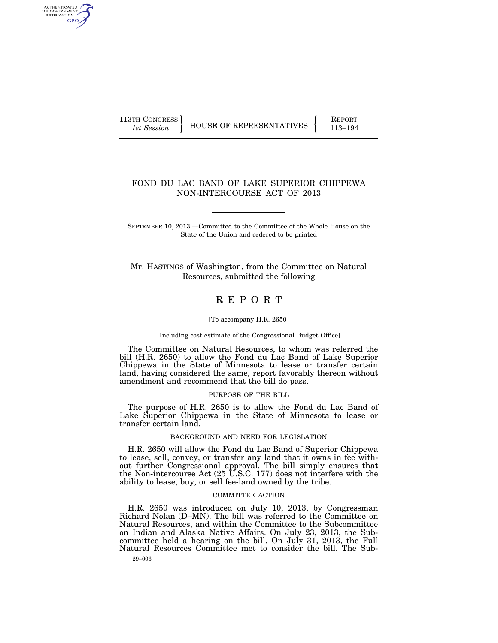AUTHENTICATED<br>U.S. GOVERNMENT<br>INFORMATION **GPO** 

113TH CONGRESS HOUSE OF REPRESENTATIVES FEPORT 113-194

## FOND DU LAC BAND OF LAKE SUPERIOR CHIPPEWA NON-INTERCOURSE ACT OF 2013

SEPTEMBER 10, 2013.—Committed to the Committee of the Whole House on the State of the Union and ordered to be printed

Mr. HASTINGS of Washington, from the Committee on Natural Resources, submitted the following

# R E P O R T

#### [To accompany H.R. 2650]

#### [Including cost estimate of the Congressional Budget Office]

The Committee on Natural Resources, to whom was referred the bill (H.R. 2650) to allow the Fond du Lac Band of Lake Superior Chippewa in the State of Minnesota to lease or transfer certain land, having considered the same, report favorably thereon without amendment and recommend that the bill do pass.

#### PURPOSE OF THE BILL

The purpose of H.R. 2650 is to allow the Fond du Lac Band of Lake Superior Chippewa in the State of Minnesota to lease or transfer certain land.

### BACKGROUND AND NEED FOR LEGISLATION

H.R. 2650 will allow the Fond du Lac Band of Superior Chippewa to lease, sell, convey, or transfer any land that it owns in fee without further Congressional approval. The bill simply ensures that the Non-intercourse Act (25 U.S.C. 177) does not interfere with the ability to lease, buy, or sell fee-land owned by the tribe.

## COMMITTEE ACTION

H.R. 2650 was introduced on July 10, 2013, by Congressman Richard Nolan (D–MN). The bill was referred to the Committee on Natural Resources, and within the Committee to the Subcommittee on Indian and Alaska Native Affairs. On July 23, 2013, the Subcommittee held a hearing on the bill. On July 31, 2013, the Full Natural Resources Committee met to consider the bill. The Sub-

29–006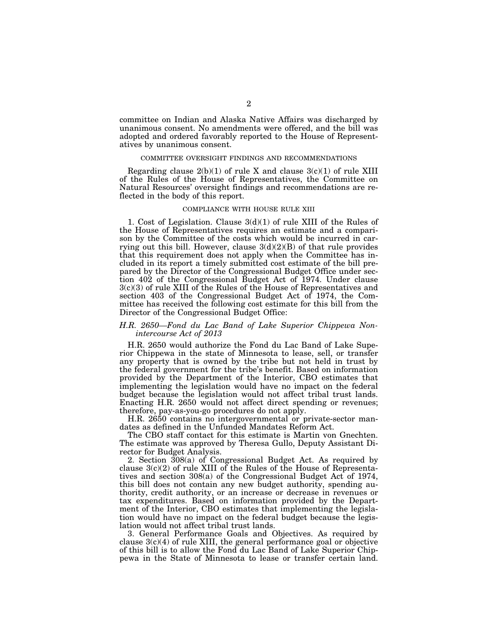committee on Indian and Alaska Native Affairs was discharged by unanimous consent. No amendments were offered, and the bill was adopted and ordered favorably reported to the House of Representatives by unanimous consent.

#### COMMITTEE OVERSIGHT FINDINGS AND RECOMMENDATIONS

Regarding clause  $2(b)(1)$  of rule X and clause  $3(c)(1)$  of rule XIII of the Rules of the House of Representatives, the Committee on Natural Resources' oversight findings and recommendations are reflected in the body of this report.

#### COMPLIANCE WITH HOUSE RULE XIII

1. Cost of Legislation. Clause 3(d)(1) of rule XIII of the Rules of the House of Representatives requires an estimate and a comparison by the Committee of the costs which would be incurred in carrying out this bill. However, clause  $3(d)(2)(B)$  of that rule provides that this requirement does not apply when the Committee has included in its report a timely submitted cost estimate of the bill prepared by the Director of the Congressional Budget Office under section 402 of the Congressional Budget Act of 1974. Under clause 3(c)(3) of rule XIII of the Rules of the House of Representatives and section 403 of the Congressional Budget Act of 1974, the Committee has received the following cost estimate for this bill from the Director of the Congressional Budget Office:

## *H.R. 2650—Fond du Lac Band of Lake Superior Chippewa Nonintercourse Act of 2013*

H.R. 2650 would authorize the Fond du Lac Band of Lake Superior Chippewa in the state of Minnesota to lease, sell, or transfer any property that is owned by the tribe but not held in trust by the federal government for the tribe's benefit. Based on information provided by the Department of the Interior, CBO estimates that implementing the legislation would have no impact on the federal budget because the legislation would not affect tribal trust lands. Enacting H.R. 2650 would not affect direct spending or revenues; therefore, pay-as-you-go procedures do not apply.

H.R. 2650 contains no intergovernmental or private-sector mandates as defined in the Unfunded Mandates Reform Act.

The CBO staff contact for this estimate is Martin von Gnechten. The estimate was approved by Theresa Gullo, Deputy Assistant Director for Budget Analysis.

2. Section 308(a) of Congressional Budget Act. As required by clause 3(c)(2) of rule XIII of the Rules of the House of Representatives and section 308(a) of the Congressional Budget Act of 1974, this bill does not contain any new budget authority, spending authority, credit authority, or an increase or decrease in revenues or tax expenditures. Based on information provided by the Department of the Interior, CBO estimates that implementing the legislation would have no impact on the federal budget because the legislation would not affect tribal trust lands.

3. General Performance Goals and Objectives. As required by clause  $3(c)(4)$  of rule XIII, the general performance goal or objective of this bill is to allow the Fond du Lac Band of Lake Superior Chippewa in the State of Minnesota to lease or transfer certain land.